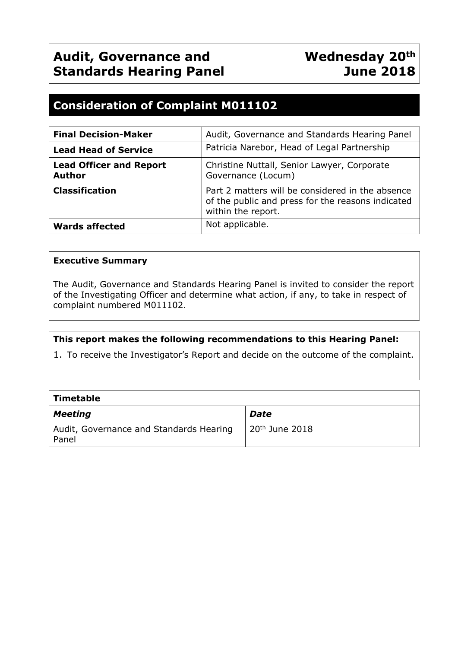# **Consideration of Complaint M011102**

| <b>Final Decision-Maker</b>                     | Audit, Governance and Standards Hearing Panel                                                                               |  |
|-------------------------------------------------|-----------------------------------------------------------------------------------------------------------------------------|--|
| <b>Lead Head of Service</b>                     | Patricia Narebor, Head of Legal Partnership                                                                                 |  |
| <b>Lead Officer and Report</b><br><b>Author</b> | Christine Nuttall, Senior Lawyer, Corporate<br>Governance (Locum)                                                           |  |
| <b>Classification</b>                           | Part 2 matters will be considered in the absence<br>of the public and press for the reasons indicated<br>within the report. |  |
| <b>Wards affected</b>                           | Not applicable.                                                                                                             |  |

# **Executive Summary**

The Audit, Governance and Standards Hearing Panel is invited to consider the report of the Investigating Officer and determine what action, if any, to take in respect of complaint numbered M011102.

# **This report makes the following recommendations to this Hearing Panel:**

1. To receive the Investigator's Report and decide on the outcome of the complaint.

| Timetable                                        |                  |
|--------------------------------------------------|------------------|
| <b>Meeting</b>                                   | Date             |
| Audit, Governance and Standards Hearing<br>Panel | $20th$ June 2018 |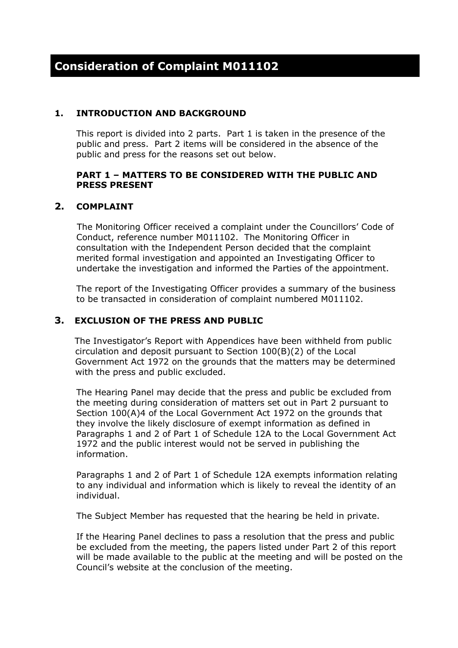# **1. INTRODUCTION AND BACKGROUND**

This report is divided into 2 parts. Part 1 is taken in the presence of the public and press. Part 2 items will be considered in the absence of the public and press for the reasons set out below.

#### **PART 1 – MATTERS TO BE CONSIDERED WITH THE PUBLIC AND PRESS PRESENT**

# **2. COMPLAINT**

The Monitoring Officer received a complaint under the Councillors' Code of Conduct, reference number M011102. The Monitoring Officer in consultation with the Independent Person decided that the complaint merited formal investigation and appointed an Investigating Officer to undertake the investigation and informed the Parties of the appointment.

The report of the Investigating Officer provides a summary of the business to be transacted in consideration of complaint numbered M011102.

# **3. EXCLUSION OF THE PRESS AND PUBLIC**

The Investigator's Report with Appendices have been withheld from public circulation and deposit pursuant to Section 100(B)(2) of the Local Government Act 1972 on the grounds that the matters may be determined with the press and public excluded.

The Hearing Panel may decide that the press and public be excluded from the meeting during consideration of matters set out in Part 2 pursuant to Section 100(A)4 of the Local Government Act 1972 on the grounds that they involve the likely disclosure of exempt information as defined in Paragraphs 1 and 2 of Part 1 of Schedule 12A to the Local Government Act 1972 and the public interest would not be served in publishing the information.

Paragraphs 1 and 2 of Part 1 of Schedule 12A exempts information relating to any individual and information which is likely to reveal the identity of an individual.

The Subject Member has requested that the hearing be held in private.

If the Hearing Panel declines to pass a resolution that the press and public be excluded from the meeting, the papers listed under Part 2 of this report will be made available to the public at the meeting and will be posted on the Council's website at the conclusion of the meeting.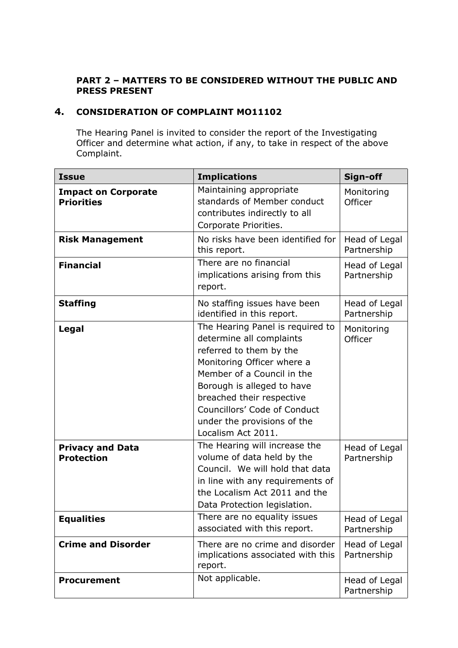# **PART 2 – MATTERS TO BE CONSIDERED WITHOUT THE PUBLIC AND PRESS PRESENT**

# **4. CONSIDERATION OF COMPLAINT MO11102**

The Hearing Panel is invited to consider the report of the Investigating Officer and determine what action, if any, to take in respect of the above Complaint.

| <b>Issue</b>                                    | <b>Implications</b>                                                                                                                                                                                                                                                                                 | Sign-off                     |
|-------------------------------------------------|-----------------------------------------------------------------------------------------------------------------------------------------------------------------------------------------------------------------------------------------------------------------------------------------------------|------------------------------|
| <b>Impact on Corporate</b><br><b>Priorities</b> | Maintaining appropriate<br>standards of Member conduct<br>contributes indirectly to all<br>Corporate Priorities.                                                                                                                                                                                    | Monitoring<br>Officer        |
| <b>Risk Management</b>                          | No risks have been identified for<br>this report.                                                                                                                                                                                                                                                   | Head of Legal<br>Partnership |
| <b>Financial</b>                                | There are no financial<br>implications arising from this<br>report.                                                                                                                                                                                                                                 | Head of Legal<br>Partnership |
| <b>Staffing</b>                                 | No staffing issues have been<br>identified in this report.                                                                                                                                                                                                                                          | Head of Legal<br>Partnership |
| Legal                                           | The Hearing Panel is required to<br>determine all complaints<br>referred to them by the<br>Monitoring Officer where a<br>Member of a Council in the<br>Borough is alleged to have<br>breached their respective<br>Councillors' Code of Conduct<br>under the provisions of the<br>Localism Act 2011. | Monitoring<br>Officer        |
| <b>Privacy and Data</b><br><b>Protection</b>    | The Hearing will increase the<br>volume of data held by the<br>Council. We will hold that data<br>in line with any requirements of<br>the Localism Act 2011 and the<br>Data Protection legislation.                                                                                                 | Head of Legal<br>Partnership |
| <b>Equalities</b>                               | There are no equality issues<br>associated with this report.                                                                                                                                                                                                                                        | Head of Legal<br>Partnership |
| <b>Crime and Disorder</b>                       | There are no crime and disorder<br>implications associated with this<br>report.                                                                                                                                                                                                                     | Head of Legal<br>Partnership |
| <b>Procurement</b>                              | Not applicable.                                                                                                                                                                                                                                                                                     | Head of Legal<br>Partnership |